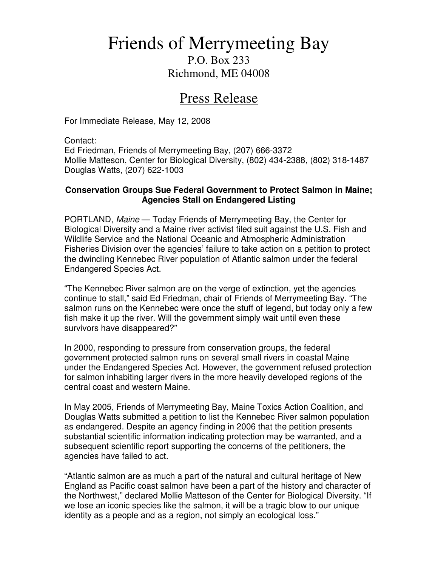## Friends of Merrymeeting Bay

P.O. Box 233 Richmond, ME 04008

## Press Release

For Immediate Release, May 12, 2008

Contact:

Ed Friedman, Friends of Merrymeeting Bay, (207) 666-3372 Mollie Matteson, Center for Biological Diversity, (802) 434-2388, (802) 318-1487 Douglas Watts, (207) 622-1003

## **Conservation Groups Sue Federal Government to Protect Salmon in Maine; Agencies Stall on Endangered Listing**

PORTLAND, Maine — Today Friends of Merrymeeting Bay, the Center for Biological Diversity and a Maine river activist filed suit against the U.S. Fish and Wildlife Service and the National Oceanic and Atmospheric Administration Fisheries Division over the agencies' failure to take action on a petition to protect the dwindling Kennebec River population of Atlantic salmon under the federal Endangered Species Act.

"The Kennebec River salmon are on the verge of extinction, yet the agencies continue to stall," said Ed Friedman, chair of Friends of Merrymeeting Bay. "The salmon runs on the Kennebec were once the stuff of legend, but today only a few fish make it up the river. Will the government simply wait until even these survivors have disappeared?"

In 2000, responding to pressure from conservation groups, the federal government protected salmon runs on several small rivers in coastal Maine under the Endangered Species Act. However, the government refused protection for salmon inhabiting larger rivers in the more heavily developed regions of the central coast and western Maine.

In May 2005, Friends of Merrymeeting Bay, Maine Toxics Action Coalition, and Douglas Watts submitted a petition to list the Kennebec River salmon population as endangered. Despite an agency finding in 2006 that the petition presents substantial scientific information indicating protection may be warranted, and a subsequent scientific report supporting the concerns of the petitioners, the agencies have failed to act.

"Atlantic salmon are as much a part of the natural and cultural heritage of New England as Pacific coast salmon have been a part of the history and character of the Northwest," declared Mollie Matteson of the Center for Biological Diversity. "If we lose an iconic species like the salmon, it will be a tragic blow to our unique identity as a people and as a region, not simply an ecological loss."